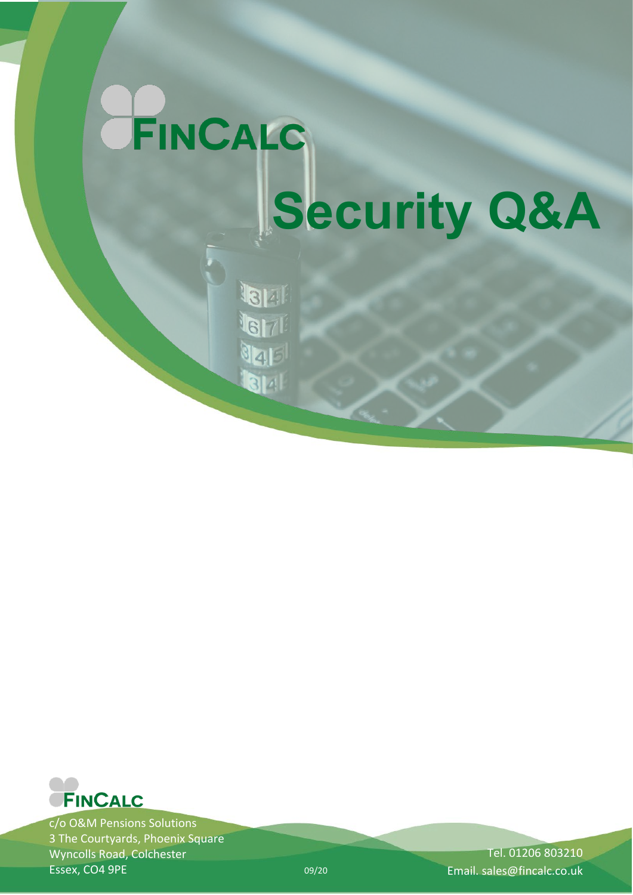# FINCALC **Security Q&A**

**Jar** 6171 JaF 14



c/o O&M Pensions Solutions 3 The Courtyards, Phoenix Square Wyncolls Road, Colchester Essex, CO4 9PE

Tel. 01206 803210 09/20 Email. sales@fincalc.co.uk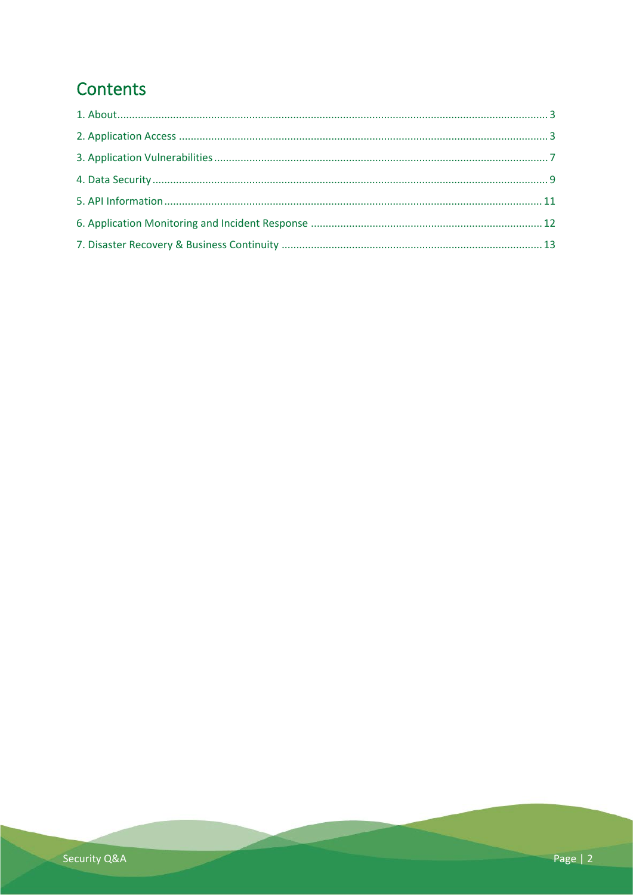# Contents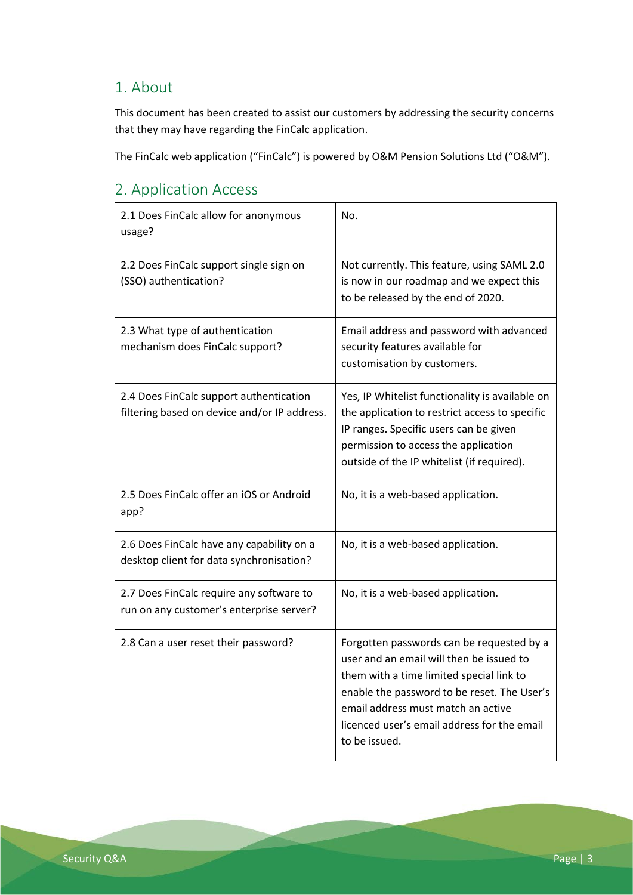#### <span id="page-2-0"></span>1. About

This document has been created to assist our customers by addressing the security concerns that they may have regarding the FinCalc application.

The FinCalc web application ("FinCalc") is powered by O&M Pension Solutions Ltd ("O&M").

#### <span id="page-2-1"></span>2. Application Access

| 2.1 Does FinCalc allow for anonymous<br>usage?                                          | No.                                                                                                                                                                                                                                                                                    |
|-----------------------------------------------------------------------------------------|----------------------------------------------------------------------------------------------------------------------------------------------------------------------------------------------------------------------------------------------------------------------------------------|
| 2.2 Does FinCalc support single sign on<br>(SSO) authentication?                        | Not currently. This feature, using SAML 2.0<br>is now in our roadmap and we expect this<br>to be released by the end of 2020.                                                                                                                                                          |
| 2.3 What type of authentication<br>mechanism does FinCalc support?                      | Email address and password with advanced<br>security features available for<br>customisation by customers.                                                                                                                                                                             |
| 2.4 Does FinCalc support authentication<br>filtering based on device and/or IP address. | Yes, IP Whitelist functionality is available on<br>the application to restrict access to specific<br>IP ranges. Specific users can be given<br>permission to access the application<br>outside of the IP whitelist (if required).                                                      |
| 2.5 Does FinCalc offer an iOS or Android<br>app?                                        | No, it is a web-based application.                                                                                                                                                                                                                                                     |
| 2.6 Does FinCalc have any capability on a<br>desktop client for data synchronisation?   | No, it is a web-based application.                                                                                                                                                                                                                                                     |
| 2.7 Does FinCalc require any software to<br>run on any customer's enterprise server?    | No, it is a web-based application.                                                                                                                                                                                                                                                     |
| 2.8 Can a user reset their password?                                                    | Forgotten passwords can be requested by a<br>user and an email will then be issued to<br>them with a time limited special link to<br>enable the password to be reset. The User's<br>email address must match an active<br>licenced user's email address for the email<br>to be issued. |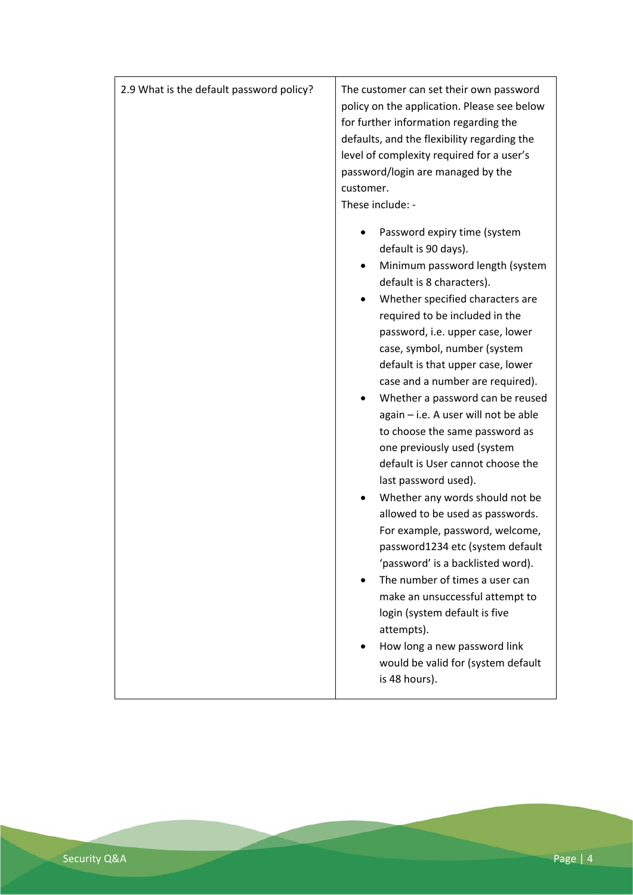| 2.9 What is the default password policy? | The customer can set their own password<br>policy on the application. Please see below<br>for further information regarding the<br>defaults, and the flexibility regarding the<br>level of complexity required for a user's<br>password/login are managed by the<br>customer.<br>These include: -                                                                                                                                                                                                                                                                                                                                                                                                                                                                                                                        |
|------------------------------------------|--------------------------------------------------------------------------------------------------------------------------------------------------------------------------------------------------------------------------------------------------------------------------------------------------------------------------------------------------------------------------------------------------------------------------------------------------------------------------------------------------------------------------------------------------------------------------------------------------------------------------------------------------------------------------------------------------------------------------------------------------------------------------------------------------------------------------|
|                                          | Password expiry time (system<br>default is 90 days).<br>Minimum password length (system<br>٠<br>default is 8 characters).<br>Whether specified characters are<br>٠<br>required to be included in the<br>password, i.e. upper case, lower<br>case, symbol, number (system<br>default is that upper case, lower<br>case and a number are required).<br>Whether a password can be reused<br>٠<br>again - i.e. A user will not be able<br>to choose the same password as<br>one previously used (system<br>default is User cannot choose the<br>last password used).<br>Whether any words should not be<br>allowed to be used as passwords.<br>For example, password, welcome,<br>password1234 etc (system default<br>'password' is a backlisted word).<br>The number of times a user can<br>make an unsuccessful attempt to |
|                                          | login (system default is five<br>attempts).<br>How long a new password link<br>would be valid for (system default<br>is 48 hours).                                                                                                                                                                                                                                                                                                                                                                                                                                                                                                                                                                                                                                                                                       |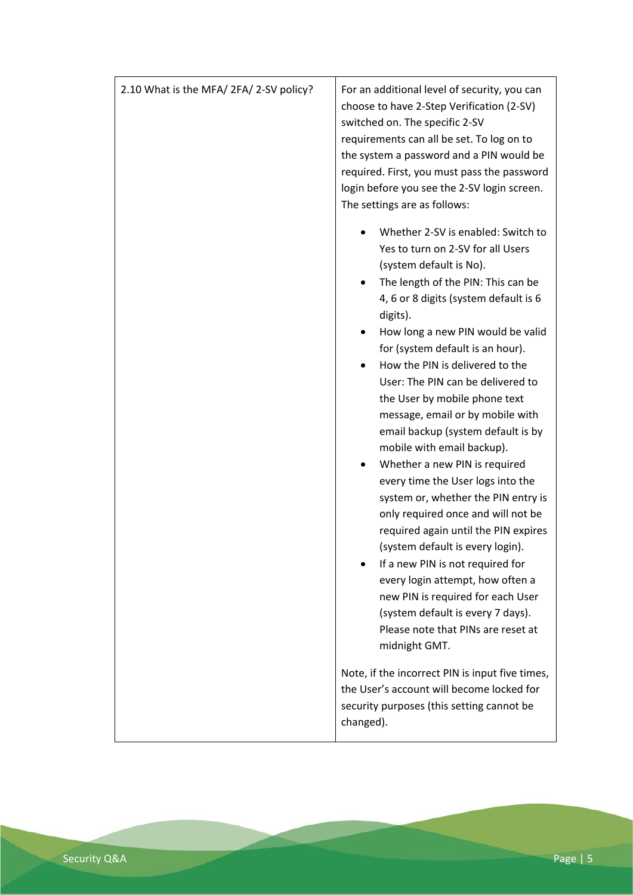| 2.10 What is the MFA/2FA/2-SV policy? | For an additional level of security, you can<br>choose to have 2-Step Verification (2-SV)<br>switched on. The specific 2-SV<br>requirements can all be set. To log on to<br>the system a password and a PIN would be<br>required. First, you must pass the password<br>login before you see the 2-SV login screen.<br>The settings are as follows:                                                                                   |
|---------------------------------------|--------------------------------------------------------------------------------------------------------------------------------------------------------------------------------------------------------------------------------------------------------------------------------------------------------------------------------------------------------------------------------------------------------------------------------------|
|                                       | Whether 2-SV is enabled: Switch to<br>Yes to turn on 2-SV for all Users<br>(system default is No).<br>The length of the PIN: This can be<br>٠<br>4, 6 or 8 digits (system default is 6<br>digits).                                                                                                                                                                                                                                   |
|                                       | How long a new PIN would be valid<br>for (system default is an hour).<br>How the PIN is delivered to the<br>User: The PIN can be delivered to<br>the User by mobile phone text<br>message, email or by mobile with<br>email backup (system default is by<br>mobile with email backup).                                                                                                                                               |
|                                       | Whether a new PIN is required<br>every time the User logs into the<br>system or, whether the PIN entry is<br>only required once and will not be<br>required again until the PIN expires<br>(system default is every login).<br>If a new PIN is not required for<br>every login attempt, how often a<br>new PIN is required for each User<br>(system default is every 7 days).<br>Please note that PINs are reset at<br>midnight GMT. |
|                                       | Note, if the incorrect PIN is input five times,<br>the User's account will become locked for<br>security purposes (this setting cannot be<br>changed).                                                                                                                                                                                                                                                                               |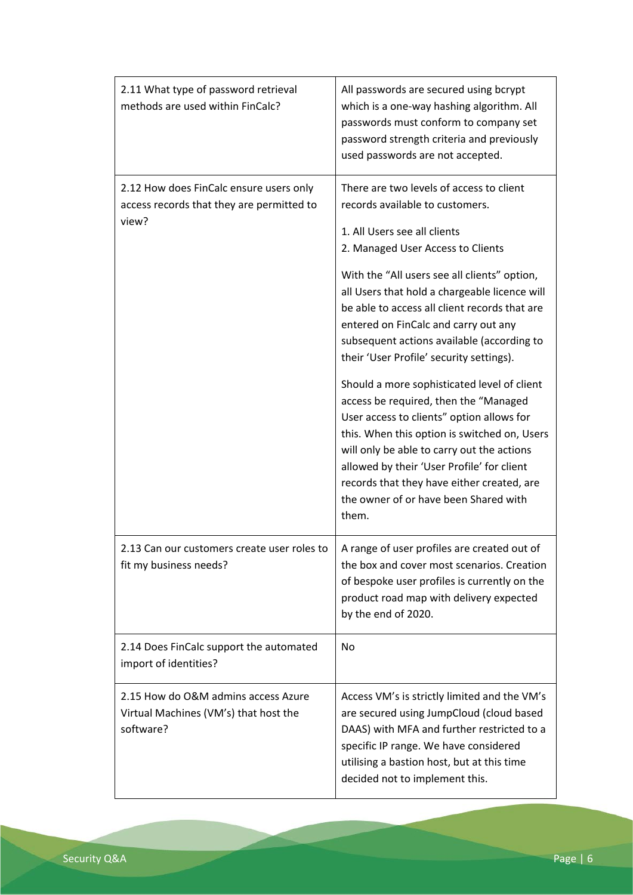| 2.11 What type of password retrieval<br>methods are used within FinCalc?                      | All passwords are secured using bcrypt<br>which is a one-way hashing algorithm. All<br>passwords must conform to company set<br>password strength criteria and previously<br>used passwords are not accepted.                                                                                                                                                                                                                                                                                                                                                                                                                                                                                                                                                                                                         |
|-----------------------------------------------------------------------------------------------|-----------------------------------------------------------------------------------------------------------------------------------------------------------------------------------------------------------------------------------------------------------------------------------------------------------------------------------------------------------------------------------------------------------------------------------------------------------------------------------------------------------------------------------------------------------------------------------------------------------------------------------------------------------------------------------------------------------------------------------------------------------------------------------------------------------------------|
| 2.12 How does FinCalc ensure users only<br>access records that they are permitted to<br>view? | There are two levels of access to client<br>records available to customers.<br>1. All Users see all clients<br>2. Managed User Access to Clients<br>With the "All users see all clients" option,<br>all Users that hold a chargeable licence will<br>be able to access all client records that are<br>entered on FinCalc and carry out any<br>subsequent actions available (according to<br>their 'User Profile' security settings).<br>Should a more sophisticated level of client<br>access be required, then the "Managed<br>User access to clients" option allows for<br>this. When this option is switched on, Users<br>will only be able to carry out the actions<br>allowed by their 'User Profile' for client<br>records that they have either created, are<br>the owner of or have been Shared with<br>them. |
| 2.13 Can our customers create user roles to<br>fit my business needs?                         | A range of user profiles are created out of<br>the box and cover most scenarios. Creation<br>of bespoke user profiles is currently on the<br>product road map with delivery expected<br>by the end of 2020.                                                                                                                                                                                                                                                                                                                                                                                                                                                                                                                                                                                                           |
| 2.14 Does FinCalc support the automated<br>import of identities?                              | No                                                                                                                                                                                                                                                                                                                                                                                                                                                                                                                                                                                                                                                                                                                                                                                                                    |
| 2.15 How do O&M admins access Azure<br>Virtual Machines (VM's) that host the<br>software?     | Access VM's is strictly limited and the VM's<br>are secured using JumpCloud (cloud based<br>DAAS) with MFA and further restricted to a<br>specific IP range. We have considered<br>utilising a bastion host, but at this time<br>decided not to implement this.                                                                                                                                                                                                                                                                                                                                                                                                                                                                                                                                                       |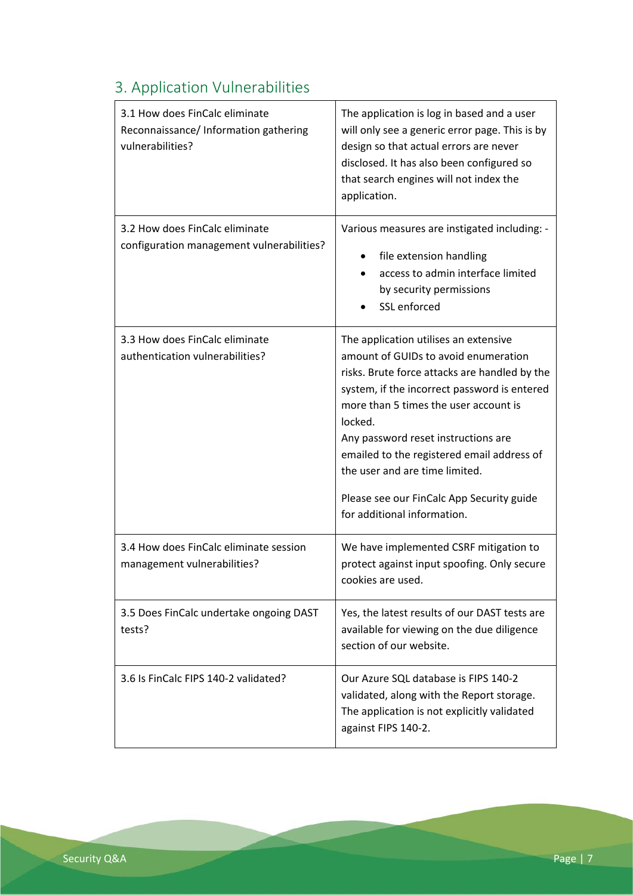# <span id="page-6-0"></span>3. Application Vulnerabilities

| 3.1 How does FinCalc eliminate<br>Reconnaissance/ Information gathering<br>vulnerabilities? | The application is log in based and a user<br>will only see a generic error page. This is by<br>design so that actual errors are never<br>disclosed. It has also been configured so<br>that search engines will not index the<br>application.                                                                                                                                                                                         |
|---------------------------------------------------------------------------------------------|---------------------------------------------------------------------------------------------------------------------------------------------------------------------------------------------------------------------------------------------------------------------------------------------------------------------------------------------------------------------------------------------------------------------------------------|
| 3.2 How does FinCalc eliminate<br>configuration management vulnerabilities?                 | Various measures are instigated including: -<br>file extension handling<br>access to admin interface limited<br>by security permissions<br>SSL enforced                                                                                                                                                                                                                                                                               |
| 3.3 How does FinCalc eliminate<br>authentication vulnerabilities?                           | The application utilises an extensive<br>amount of GUIDs to avoid enumeration<br>risks. Brute force attacks are handled by the<br>system, if the incorrect password is entered<br>more than 5 times the user account is<br>locked.<br>Any password reset instructions are<br>emailed to the registered email address of<br>the user and are time limited.<br>Please see our FinCalc App Security guide<br>for additional information. |
| 3.4 How does FinCalc eliminate session<br>management vulnerabilities?                       | We have implemented CSRF mitigation to<br>protect against input spoofing. Only secure<br>cookies are used.                                                                                                                                                                                                                                                                                                                            |
| 3.5 Does FinCalc undertake ongoing DAST<br>tests?                                           | Yes, the latest results of our DAST tests are<br>available for viewing on the due diligence<br>section of our website.                                                                                                                                                                                                                                                                                                                |
| 3.6 Is FinCalc FIPS 140-2 validated?                                                        | Our Azure SQL database is FIPS 140-2<br>validated, along with the Report storage.<br>The application is not explicitly validated<br>against FIPS 140-2.                                                                                                                                                                                                                                                                               |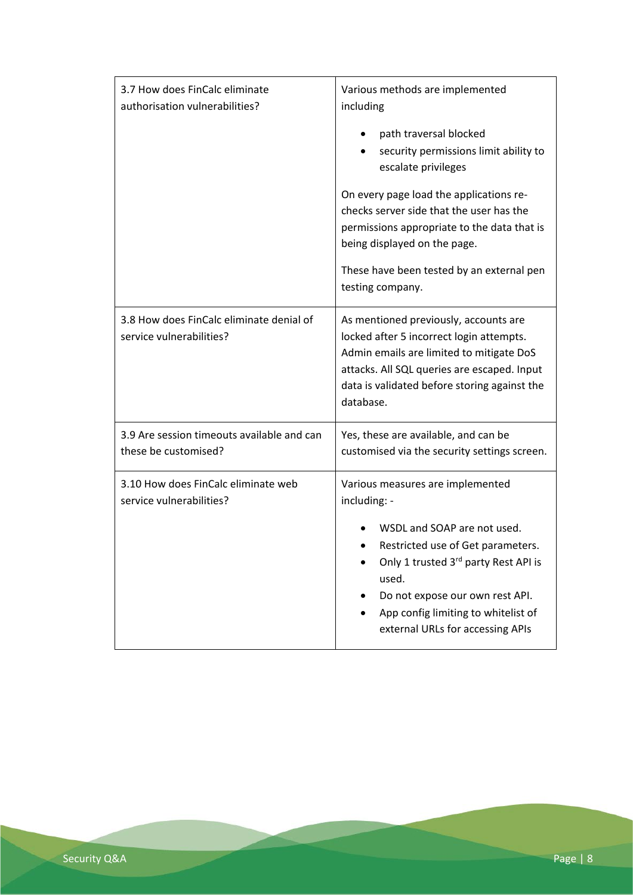| 3.7 How does FinCalc eliminate<br>authorisation vulnerabilities?     | Various methods are implemented<br>including                                                                                                                                                                                                                                        |
|----------------------------------------------------------------------|-------------------------------------------------------------------------------------------------------------------------------------------------------------------------------------------------------------------------------------------------------------------------------------|
|                                                                      | path traversal blocked<br>security permissions limit ability to<br>escalate privileges                                                                                                                                                                                              |
|                                                                      | On every page load the applications re-<br>checks server side that the user has the<br>permissions appropriate to the data that is<br>being displayed on the page.                                                                                                                  |
|                                                                      | These have been tested by an external pen<br>testing company.                                                                                                                                                                                                                       |
| 3.8 How does FinCalc eliminate denial of<br>service vulnerabilities? | As mentioned previously, accounts are<br>locked after 5 incorrect login attempts.<br>Admin emails are limited to mitigate DoS<br>attacks. All SQL queries are escaped. Input<br>data is validated before storing against the<br>database.                                           |
| 3.9 Are session timeouts available and can<br>these be customised?   | Yes, these are available, and can be<br>customised via the security settings screen.                                                                                                                                                                                                |
| 3.10 How does FinCalc eliminate web<br>service vulnerabilities?      | Various measures are implemented<br>including: -<br>WSDL and SOAP are not used.<br>Restricted use of Get parameters.<br>Only 1 trusted 3rd party Rest API is<br>used.<br>Do not expose our own rest API.<br>App config limiting to whitelist of<br>external URLs for accessing APIs |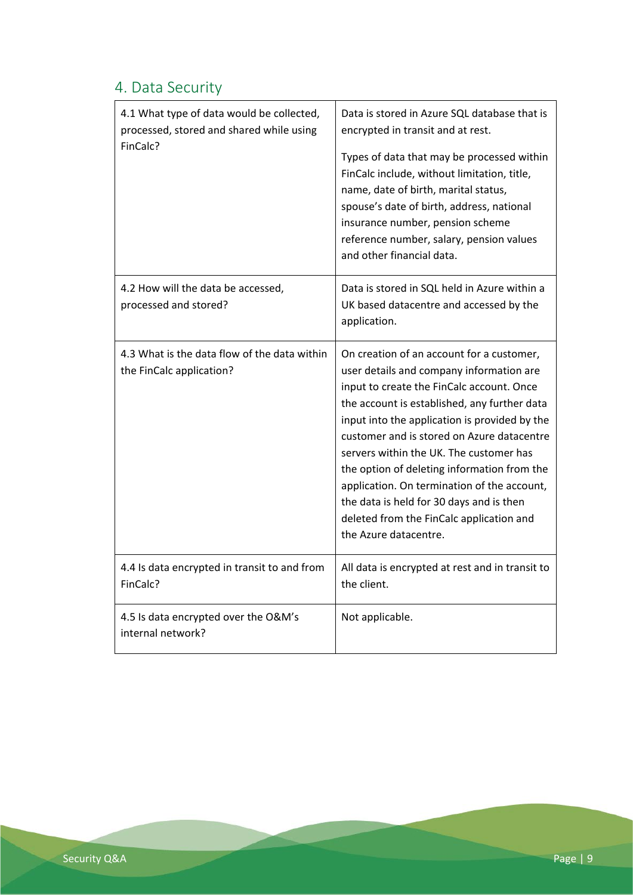#### <span id="page-8-0"></span>4. Data Security

| 4.1 What type of data would be collected,<br>processed, stored and shared while using | Data is stored in Azure SQL database that is<br>encrypted in transit and at rest.                                                                                                                                                                                                                                                                                                                                                                                                                                                           |
|---------------------------------------------------------------------------------------|---------------------------------------------------------------------------------------------------------------------------------------------------------------------------------------------------------------------------------------------------------------------------------------------------------------------------------------------------------------------------------------------------------------------------------------------------------------------------------------------------------------------------------------------|
| FinCalc?                                                                              | Types of data that may be processed within<br>FinCalc include, without limitation, title,<br>name, date of birth, marital status,<br>spouse's date of birth, address, national<br>insurance number, pension scheme<br>reference number, salary, pension values<br>and other financial data.                                                                                                                                                                                                                                                 |
| 4.2 How will the data be accessed,<br>processed and stored?                           | Data is stored in SQL held in Azure within a<br>UK based datacentre and accessed by the<br>application.                                                                                                                                                                                                                                                                                                                                                                                                                                     |
| 4.3 What is the data flow of the data within<br>the FinCalc application?              | On creation of an account for a customer,<br>user details and company information are<br>input to create the FinCalc account. Once<br>the account is established, any further data<br>input into the application is provided by the<br>customer and is stored on Azure datacentre<br>servers within the UK. The customer has<br>the option of deleting information from the<br>application. On termination of the account,<br>the data is held for 30 days and is then<br>deleted from the FinCalc application and<br>the Azure datacentre. |
| 4.4 Is data encrypted in transit to and from<br>FinCalc?                              | All data is encrypted at rest and in transit to<br>the client.                                                                                                                                                                                                                                                                                                                                                                                                                                                                              |
| 4.5 Is data encrypted over the O&M's<br>internal network?                             | Not applicable.                                                                                                                                                                                                                                                                                                                                                                                                                                                                                                                             |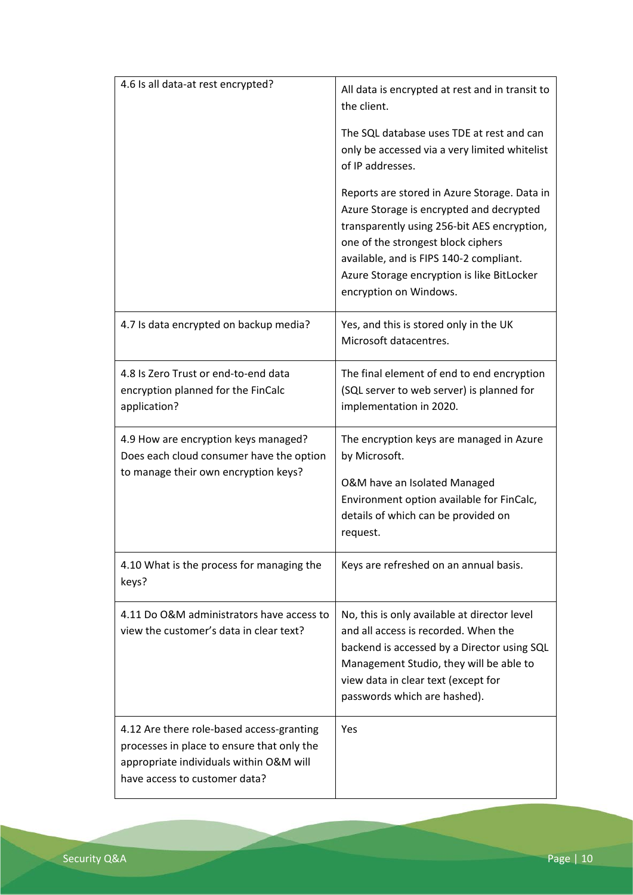| 4.6 Is all data-at rest encrypted?                                                                                                                                  | All data is encrypted at rest and in transit to<br>the client.                                                                                                                                                                                                                                   |
|---------------------------------------------------------------------------------------------------------------------------------------------------------------------|--------------------------------------------------------------------------------------------------------------------------------------------------------------------------------------------------------------------------------------------------------------------------------------------------|
|                                                                                                                                                                     | The SQL database uses TDE at rest and can<br>only be accessed via a very limited whitelist<br>of IP addresses.                                                                                                                                                                                   |
|                                                                                                                                                                     | Reports are stored in Azure Storage. Data in<br>Azure Storage is encrypted and decrypted<br>transparently using 256-bit AES encryption,<br>one of the strongest block ciphers<br>available, and is FIPS 140-2 compliant.<br>Azure Storage encryption is like BitLocker<br>encryption on Windows. |
| 4.7 Is data encrypted on backup media?                                                                                                                              | Yes, and this is stored only in the UK<br>Microsoft datacentres.                                                                                                                                                                                                                                 |
| 4.8 Is Zero Trust or end-to-end data<br>encryption planned for the FinCalc<br>application?                                                                          | The final element of end to end encryption<br>(SQL server to web server) is planned for<br>implementation in 2020.                                                                                                                                                                               |
| 4.9 How are encryption keys managed?<br>Does each cloud consumer have the option<br>to manage their own encryption keys?                                            | The encryption keys are managed in Azure<br>by Microsoft.<br>O&M have an Isolated Managed<br>Environment option available for FinCalc,<br>details of which can be provided on<br>request.                                                                                                        |
| 4.10 What is the process for managing the<br>keys?                                                                                                                  | Keys are refreshed on an annual basis.                                                                                                                                                                                                                                                           |
| 4.11 Do O&M administrators have access to<br>view the customer's data in clear text?                                                                                | No, this is only available at director level<br>and all access is recorded. When the<br>backend is accessed by a Director using SQL<br>Management Studio, they will be able to<br>view data in clear text (except for<br>passwords which are hashed).                                            |
| 4.12 Are there role-based access-granting<br>processes in place to ensure that only the<br>appropriate individuals within O&M will<br>have access to customer data? | Yes                                                                                                                                                                                                                                                                                              |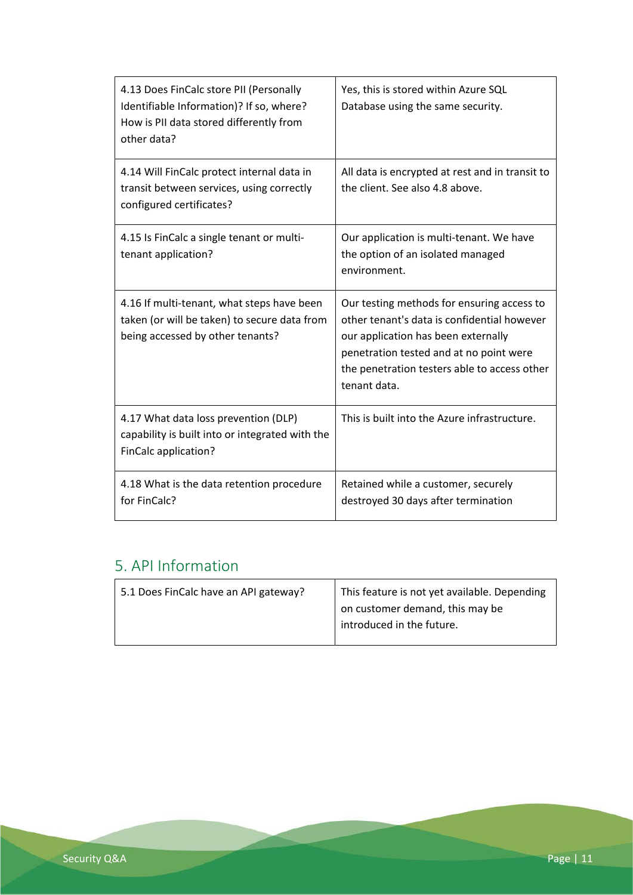| 4.13 Does FinCalc store PII (Personally<br>Identifiable Information)? If so, where?<br>How is PII data stored differently from<br>other data? | Yes, this is stored within Azure SQL<br>Database using the same security.                                                                                                                                                                   |
|-----------------------------------------------------------------------------------------------------------------------------------------------|---------------------------------------------------------------------------------------------------------------------------------------------------------------------------------------------------------------------------------------------|
| 4.14 Will FinCalc protect internal data in<br>transit between services, using correctly<br>configured certificates?                           | All data is encrypted at rest and in transit to<br>the client. See also 4.8 above.                                                                                                                                                          |
| 4.15 Is FinCalc a single tenant or multi-<br>tenant application?                                                                              | Our application is multi-tenant. We have<br>the option of an isolated managed<br>environment.                                                                                                                                               |
| 4.16 If multi-tenant, what steps have been<br>taken (or will be taken) to secure data from<br>being accessed by other tenants?                | Our testing methods for ensuring access to<br>other tenant's data is confidential however<br>our application has been externally<br>penetration tested and at no point were<br>the penetration testers able to access other<br>tenant data. |
| 4.17 What data loss prevention (DLP)<br>capability is built into or integrated with the<br>FinCalc application?                               | This is built into the Azure infrastructure.                                                                                                                                                                                                |
| 4.18 What is the data retention procedure<br>for FinCalc?                                                                                     | Retained while a customer, securely<br>destroyed 30 days after termination                                                                                                                                                                  |

#### <span id="page-10-0"></span>5. API Information

| 5.1 Does FinCalc have an API gateway? | This feature is not yet available. Depending |
|---------------------------------------|----------------------------------------------|
|                                       | on customer demand, this may be              |
|                                       | introduced in the future.                    |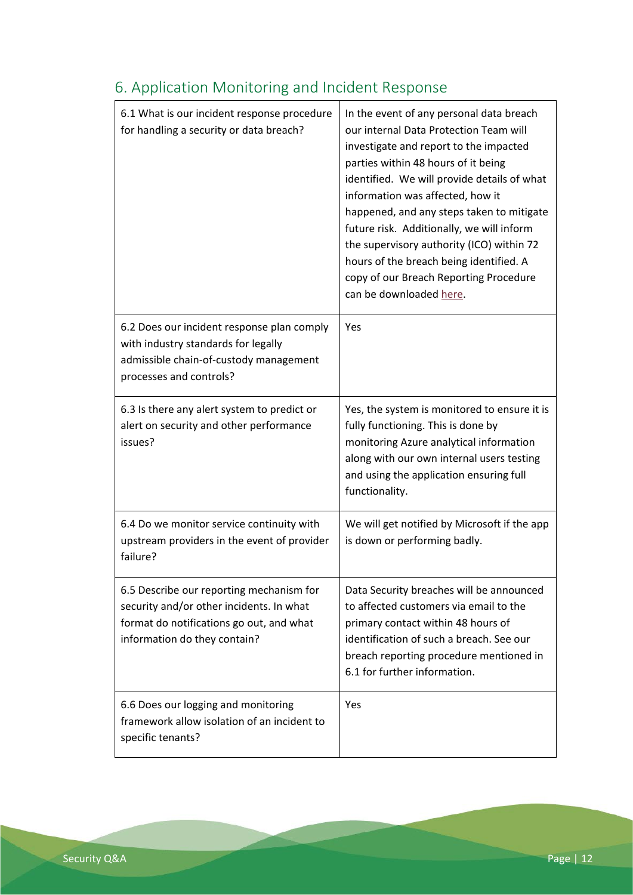| 6.1 What is our incident response procedure<br>for handling a security or data breach?                                                                           | In the event of any personal data breach<br>our internal Data Protection Team will<br>investigate and report to the impacted<br>parties within 48 hours of it being<br>identified. We will provide details of what<br>information was affected, how it<br>happened, and any steps taken to mitigate<br>future risk. Additionally, we will inform<br>the supervisory authority (ICO) within 72<br>hours of the breach being identified. A<br>copy of our Breach Reporting Procedure<br>can be downloaded here. |
|------------------------------------------------------------------------------------------------------------------------------------------------------------------|---------------------------------------------------------------------------------------------------------------------------------------------------------------------------------------------------------------------------------------------------------------------------------------------------------------------------------------------------------------------------------------------------------------------------------------------------------------------------------------------------------------|
| 6.2 Does our incident response plan comply<br>with industry standards for legally<br>admissible chain-of-custody management<br>processes and controls?           | Yes                                                                                                                                                                                                                                                                                                                                                                                                                                                                                                           |
| 6.3 Is there any alert system to predict or<br>alert on security and other performance<br>issues?                                                                | Yes, the system is monitored to ensure it is<br>fully functioning. This is done by<br>monitoring Azure analytical information<br>along with our own internal users testing<br>and using the application ensuring full<br>functionality.                                                                                                                                                                                                                                                                       |
| 6.4 Do we monitor service continuity with<br>upstream providers in the event of provider<br>failure?                                                             | We will get notified by Microsoft if the app<br>is down or performing badly.                                                                                                                                                                                                                                                                                                                                                                                                                                  |
| 6.5 Describe our reporting mechanism for<br>security and/or other incidents. In what<br>format do notifications go out, and what<br>information do they contain? | Data Security breaches will be announced<br>to affected customers via email to the<br>primary contact within 48 hours of<br>identification of such a breach. See our<br>breach reporting procedure mentioned in<br>6.1 for further information.                                                                                                                                                                                                                                                               |
| 6.6 Does our logging and monitoring<br>framework allow isolation of an incident to<br>specific tenants?                                                          | Yes                                                                                                                                                                                                                                                                                                                                                                                                                                                                                                           |

# <span id="page-11-0"></span>6. Application Monitoring and Incident Response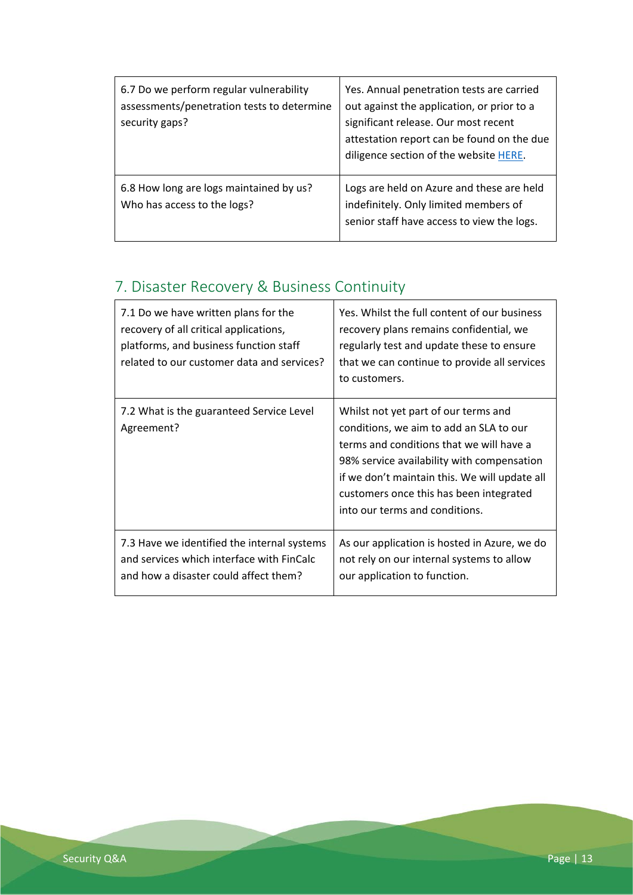| 6.7 Do we perform regular vulnerability<br>assessments/penetration tests to determine<br>security gaps? | Yes. Annual penetration tests are carried<br>out against the application, or prior to a<br>significant release. Our most recent<br>attestation report can be found on the due<br>diligence section of the website HERE. |
|---------------------------------------------------------------------------------------------------------|-------------------------------------------------------------------------------------------------------------------------------------------------------------------------------------------------------------------------|
| 6.8 How long are logs maintained by us?<br>Who has access to the logs?                                  | Logs are held on Azure and these are held<br>indefinitely. Only limited members of<br>senior staff have access to view the logs.                                                                                        |

# <span id="page-12-0"></span>7. Disaster Recovery & Business Continuity

| 7.1 Do we have written plans for the<br>recovery of all critical applications,<br>platforms, and business function staff<br>related to our customer data and services? | Yes. Whilst the full content of our business<br>recovery plans remains confidential, we<br>regularly test and update these to ensure<br>that we can continue to provide all services<br>to customers.                                                                                                   |
|------------------------------------------------------------------------------------------------------------------------------------------------------------------------|---------------------------------------------------------------------------------------------------------------------------------------------------------------------------------------------------------------------------------------------------------------------------------------------------------|
| 7.2 What is the guaranteed Service Level<br>Agreement?                                                                                                                 | Whilst not yet part of our terms and<br>conditions, we aim to add an SLA to our<br>terms and conditions that we will have a<br>98% service availability with compensation<br>if we don't maintain this. We will update all<br>customers once this has been integrated<br>into our terms and conditions. |
| 7.3 Have we identified the internal systems<br>and services which interface with FinCalc<br>and how a disaster could affect them?                                      | As our application is hosted in Azure, we do<br>not rely on our internal systems to allow<br>our application to function.                                                                                                                                                                               |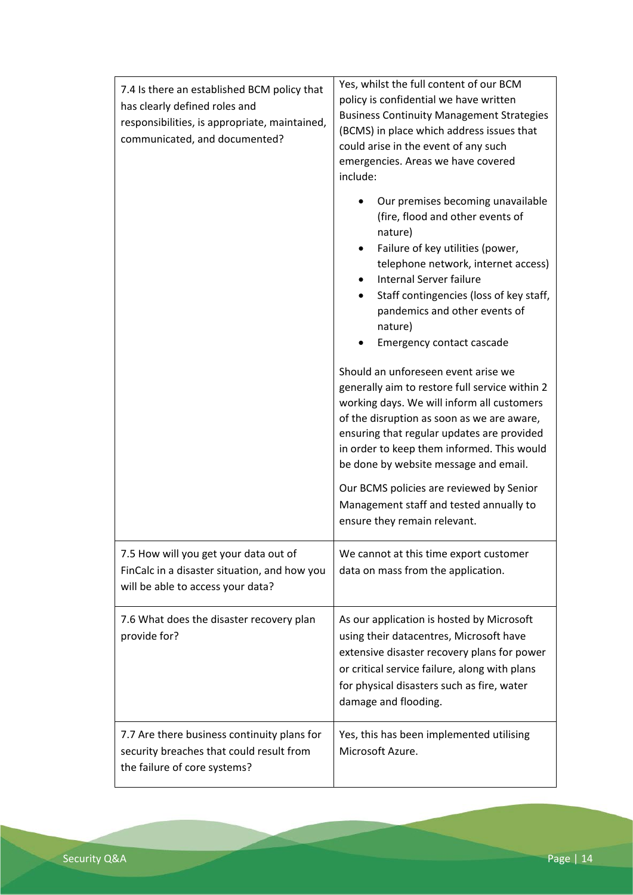| 7.4 Is there an established BCM policy that<br>has clearly defined roles and<br>responsibilities, is appropriate, maintained,<br>communicated, and documented? | Yes, whilst the full content of our BCM<br>policy is confidential we have written<br><b>Business Continuity Management Strategies</b><br>(BCMS) in place which address issues that<br>could arise in the event of any such<br>emergencies. Areas we have covered<br>include:<br>Our premises becoming unavailable<br>(fire, flood and other events of<br>nature)<br>Failure of key utilities (power,<br>telephone network, internet access)<br>Internal Server failure<br>Staff contingencies (loss of key staff,<br>pandemics and other events of<br>nature)<br>Emergency contact cascade<br>Should an unforeseen event arise we<br>generally aim to restore full service within 2<br>working days. We will inform all customers<br>of the disruption as soon as we are aware,<br>ensuring that regular updates are provided<br>in order to keep them informed. This would<br>be done by website message and email.<br>Our BCMS policies are reviewed by Senior<br>Management staff and tested annually to<br>ensure they remain relevant. |
|----------------------------------------------------------------------------------------------------------------------------------------------------------------|---------------------------------------------------------------------------------------------------------------------------------------------------------------------------------------------------------------------------------------------------------------------------------------------------------------------------------------------------------------------------------------------------------------------------------------------------------------------------------------------------------------------------------------------------------------------------------------------------------------------------------------------------------------------------------------------------------------------------------------------------------------------------------------------------------------------------------------------------------------------------------------------------------------------------------------------------------------------------------------------------------------------------------------------|
| 7.5 How will you get your data out of<br>FinCalc in a disaster situation, and how you<br>will be able to access your data?                                     | We cannot at this time export customer<br>data on mass from the application.                                                                                                                                                                                                                                                                                                                                                                                                                                                                                                                                                                                                                                                                                                                                                                                                                                                                                                                                                                |
| 7.6 What does the disaster recovery plan<br>provide for?                                                                                                       | As our application is hosted by Microsoft<br>using their datacentres, Microsoft have<br>extensive disaster recovery plans for power<br>or critical service failure, along with plans<br>for physical disasters such as fire, water<br>damage and flooding.                                                                                                                                                                                                                                                                                                                                                                                                                                                                                                                                                                                                                                                                                                                                                                                  |
| 7.7 Are there business continuity plans for<br>security breaches that could result from<br>the failure of core systems?                                        | Yes, this has been implemented utilising<br>Microsoft Azure.                                                                                                                                                                                                                                                                                                                                                                                                                                                                                                                                                                                                                                                                                                                                                                                                                                                                                                                                                                                |